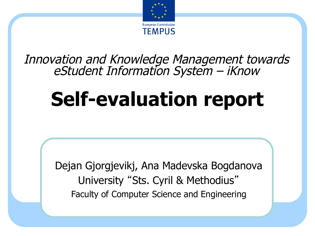

Innovation and Knowledge Management towards eStudent Information System – iKnow

# **Self-evaluation report**

Dejan Gjorgjevikj, Ana Madevska Bogdanova University "Sts. Cyril & Methodius" Faculty of Computer Science and Engineering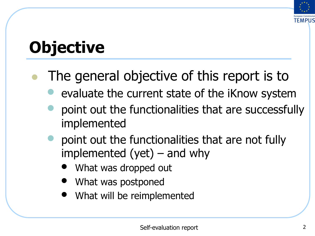

## **Objective**

- The general objective of this report is to
	- evaluate the current state of the iKnow system
	- point out the functionalities that are successfully implemented
	- point out the functionalities that are not fully implemented  $(yet)$  – and why
		- What was dropped out
		- What was postponed
		- What will be reimplemented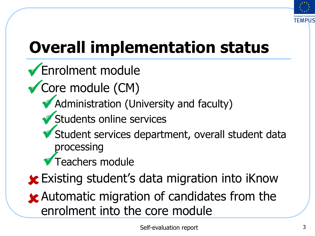

## **Overall implementation status**

- Kurdiment module
- ✔ Core module (CM)
	- *Administration (University and faculty)*
	- Students online services ü
	- Student services department, overall student data ü processing
	- Teachers module ü
- **x** Existing student's data migration into iKnow
- **x** Automatic migration of candidates from the enrolment into the core module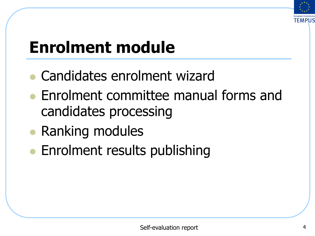

## **Enrolment module**

- l Candidates enrolment wizard
- **Enrolment committee manual forms and** candidates processing
- Ranking modules
- **Enrolment results publishing**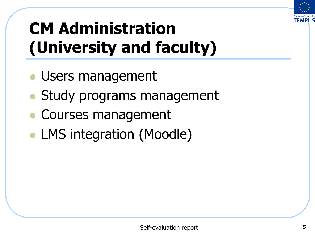

## **CM Administration (University and faculty)**

- Users management
- Study programs management
- Courses management
- LMS integration (Moodle)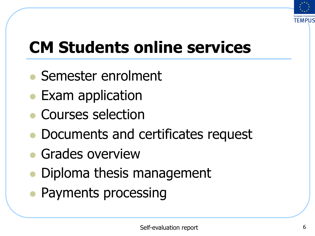

## **CM Students online services**

- **Semester enrolment**
- Exam application
- Courses selection
- Documents and certificates request
- **Grades overview**
- Diploma thesis management
- Payments processing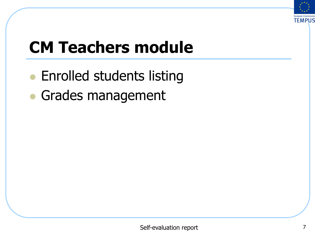

## **CM Teachers module**

- Enrolled students listing
- **Grades management**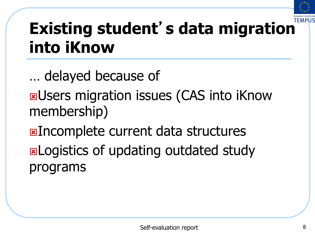

## **Existing student**'**s data migration into iKnow**

… delayed because of **EXUSERS migration issues (CAS into iKnow** membership) **EXIncomplete current data structures ELOGISTICS OF updating outdated study** programs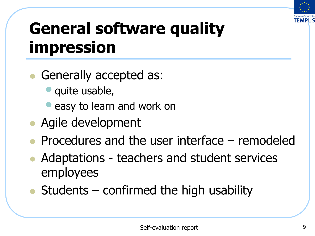

### **General software quality impression**

- Generally accepted as:
	- quite usable,
	- easy to learn and work on
- Agile development
- <sup>l</sup> Procedures and the user interface remodeled
- Adaptations teachers and student services employees
- $\bullet$  Students confirmed the high usability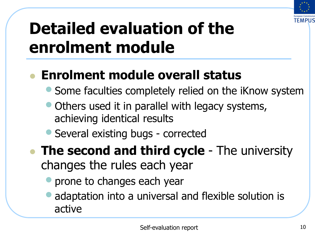

## **Detailed evaluation of the enrolment module**

#### l **Enrolment module overall status**

- Some faculties completely relied on the iKnow system
- Others used it in parallel with legacy systems, achieving identical results
- Several existing bugs corrected
- **The second and third cycle** The university changes the rules each year
	- prone to changes each year
	- adaptation into a universal and flexible solution is active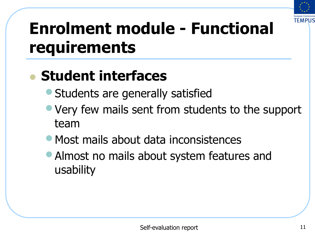

### **Enrolment module - Functional requirements**

#### l **Student interfaces**

- Students are generally satisfied
- Very few mails sent from students to the support team
- Most mails about data inconsistences
- Almost no mails about system features and usability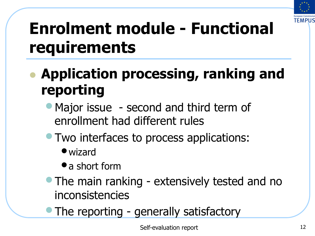

### **Enrolment module - Functional requirements**

- l **Application processing, ranking and reporting** 
	- Major issue second and third term of enrollment had different rules
	- Two interfaces to process applications:
		- •wizard
		- a short form
	- The main ranking extensively tested and no inconsistencies
	- The reporting generally satisfactory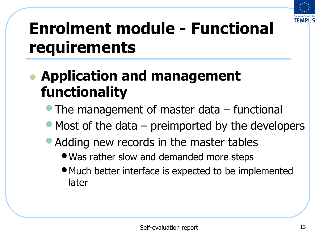

### **Enrolment module - Functional requirements**

#### l **Application and management functionality**

- The management of master data functional
- Most of the data  $-$  preimported by the developers
- Adding new records in the master tables
	- •Was rather slow and demanded more steps
	- Much better interface is expected to be implemented later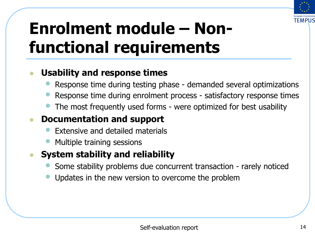

### **Enrolment module – Nonfunctional requirements**

#### <sup>l</sup> **Usability and response times**

- Response time during testing phase demanded several optimizations
- Response time during enrolment process satisfactory response times
- The most frequently used forms were optimized for best usability

#### <sup>l</sup> **Documentation and support**

- Extensive and detailed materials
- Multiple training sessions

#### <sup>l</sup> **System stability and reliability**

- Some stability problems due concurrent transaction rarely noticed
- Updates in the new version to overcome the problem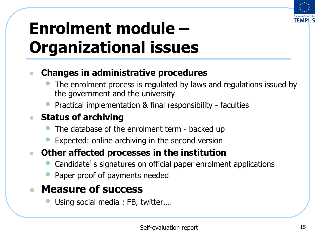

### **Enrolment module – Organizational issues**

#### <sup>l</sup> **Changes in administrative procedures**

- The enrolment process is regulated by laws and regulations issued by the government and the university
- Practical implementation & final responsibility faculties

#### <sup>l</sup> **Status of archiving**

- The database of the enrolment term backed up
- Expected: online archiving in the second version

#### **Other affected processes in the institution**

- Candidate's signatures on official paper enrolment applications
- Paper proof of payments needed

#### <sup>l</sup> **Measure of success**

Using social media : FB, twitter,...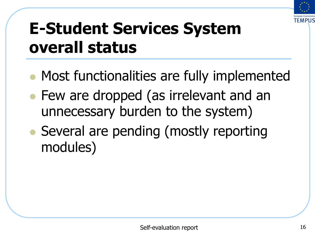

### **E-Student Services System overall status**

- Most functionalities are fully implemented
- Few are dropped (as irrelevant and an unnecessary burden to the system)
- Several are pending (mostly reporting modules)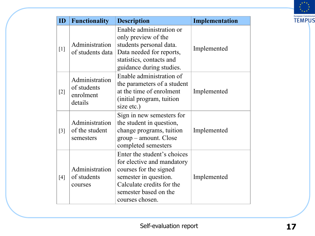

| ID                | <b>Functionality</b>                                  | <b>Description</b>                                                                                                                                                                    | Implementation |
|-------------------|-------------------------------------------------------|---------------------------------------------------------------------------------------------------------------------------------------------------------------------------------------|----------------|
| $[1]$             | Administration<br>of students data                    | Enable administration or<br>only preview of the<br>students personal data.<br>Data needed for reports,<br>statistics, contacts and<br>guidance during studies.                        | Implemented    |
| $[2]$             | Administration<br>of students<br>enrolment<br>details | Enable administration of<br>the parameters of a student<br>at the time of enrolment<br>(initial program, tuition<br>size etc.)                                                        | Implemented    |
| $\lceil 3 \rceil$ | Administration<br>of the student<br>semesters         | Sign in new semesters for<br>the student in question,<br>change programs, tuition<br>group – amount. Close<br>completed semesters                                                     | Implemented    |
| [4]               | Administration<br>of students<br>courses              | Enter the student's choices<br>for elective and mandatory<br>courses for the signed<br>semester in question.<br>Calculate credits for the<br>semester based on the<br>courses chosen. | Implemented    |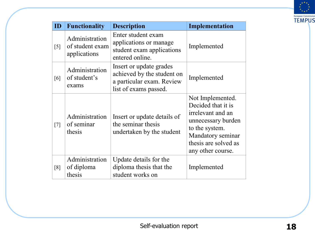

| ID                | <b>Functionality</b>                              | <b>Description</b>                                                                                          | Implementation                                                                                                                                                        |
|-------------------|---------------------------------------------------|-------------------------------------------------------------------------------------------------------------|-----------------------------------------------------------------------------------------------------------------------------------------------------------------------|
| $\left[5\right]$  | Administration<br>of student exam<br>applications | Enter student exam<br>applications or manage<br>student exam applications<br>entered online.                | Implemented                                                                                                                                                           |
| $\lceil 6 \rceil$ | Administration<br>of student's<br>exams           | Insert or update grades<br>achieved by the student on<br>a particular exam. Review<br>list of exams passed. | Implemented                                                                                                                                                           |
| $\lceil 7 \rceil$ | Administration<br>of seminar<br>thesis            | Insert or update details of<br>the seminar thesis<br>undertaken by the student                              | Not Implemented.<br>Decided that it is<br>irrelevant and an<br>unnecessary burden<br>to the system.<br>Mandatory seminar<br>thesis are solved as<br>any other course. |
| [8]               | Administration<br>of diploma<br>thesis            | Update details for the<br>diploma thesis that the<br>student works on                                       | Implemented                                                                                                                                                           |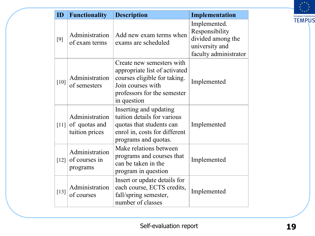| ID     | <b>Functionality</b>                              | <b>Description</b>                                                                                                                                            | Implementation                                                                                 |
|--------|---------------------------------------------------|---------------------------------------------------------------------------------------------------------------------------------------------------------------|------------------------------------------------------------------------------------------------|
| [9]    | Administration<br>of exam terms                   | Add new exam terms when<br>exams are scheduled                                                                                                                | Implemented.<br>Responsibility<br>divided among the<br>university and<br>faculty administrator |
| $[10]$ | Administration<br>of semesters                    | Create new semesters with<br>appropriate list of activated<br>courses eligible for taking.<br>Join courses with<br>professors for the semester<br>in question | Implemented                                                                                    |
| [11]   | Administration<br>of quotas and<br>tuition prices | Inserting and updating<br>tuition details for various<br>quotas that students can<br>enrol in, costs for different<br>programs and quotas.                    | Implemented                                                                                    |
| $[12]$ | Administration<br>of courses in<br>programs       | Make relations between<br>programs and courses that<br>can be taken in the<br>program in question                                                             | Implemented                                                                                    |
| $[13]$ | Administration<br>of courses                      | Insert or update details for<br>each course, ECTS credits,<br>fall/spring semester,<br>number of classes                                                      | Implemented                                                                                    |

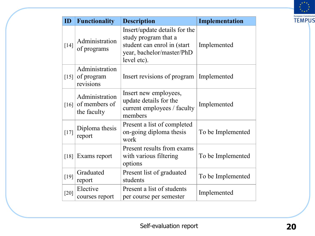

| ID                 | <b>Functionality</b>                           | <b>Description</b>                                                                                                               | Implementation    |
|--------------------|------------------------------------------------|----------------------------------------------------------------------------------------------------------------------------------|-------------------|
| $[14]$             | Administration<br>of programs                  | Insert/update details for the<br>study program that a<br>student can enrol in (start<br>year, bachelor/master/PhD<br>level etc). | Implemented       |
| $[15]$             | Administration<br>of program<br>revisions      | Insert revisions of program   Implemented                                                                                        |                   |
| [16]               | Administration<br>of members of<br>the faculty | Insert new employees,<br>update details for the<br>current employees / faculty<br>members                                        | Implemented       |
| $[17]$             | Diploma thesis<br>report                       | Present a list of completed<br>on-going diploma thesis<br>work                                                                   | To be Implemented |
| $\lceil 18 \rceil$ | Exams report                                   | Present results from exams<br>with various filtering<br>options                                                                  | To be Implemented |
| $[19]$             | Graduated<br>report                            | Present list of graduated<br>students                                                                                            | To be Implemented |
| $[20]$             | Elective<br>courses report                     | Present a list of students<br>per course per semester                                                                            | Implemented       |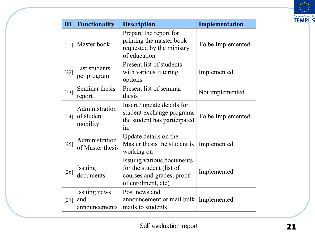

| ID                 | <b>Functionality</b>                     | <b>Description</b>                                                                                       | Implementation    |
|--------------------|------------------------------------------|----------------------------------------------------------------------------------------------------------|-------------------|
| $\lceil 21 \rceil$ | Master book                              | Prepare the report for<br>printing the master book<br>requested by the ministry<br>of education          | To be Implemented |
| $[22]$             | List students<br>per program             | Present list of students<br>with various filtering<br>options                                            | Implemented       |
| $[23]$             | Seminar thesis<br>report                 | Present list of seminar<br>thesis                                                                        | Not implemented   |
| $\lceil 24 \rceil$ | Administration<br>of student<br>mobility | Insert / update details for<br>student exchange programs<br>the student has participated<br>$1n$ .       | To be Implemented |
| $[25]$             | Administration<br>of Master thesis       | Update details on the<br>Master thesis the student is<br>working on                                      | Implemented       |
| $[26]$             | Issuing<br>documents                     | Issuing various documents<br>for the student (list of<br>courses and grades, proof<br>of enrolment, etc) | Implemented       |
| $[27]$             | Issuing news<br>and<br>announcements     | Post news and<br>announcement or mail bulk   Implemented<br>mails to students                            |                   |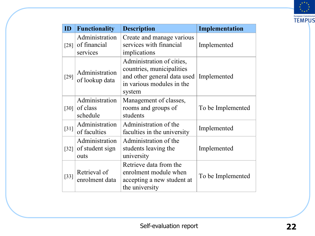

| ID                 | <b>Functionality</b>                       | <b>Description</b>                                                                                                           | Implementation    |
|--------------------|--------------------------------------------|------------------------------------------------------------------------------------------------------------------------------|-------------------|
| [28]               | Administration<br>of financial<br>services | Create and manage various<br>services with financial<br>implications                                                         | Implemented       |
| $[29]$             | Administration<br>of lookup data           | Administration of cities,<br>countries, municipalities<br>and other general data used<br>in various modules in the<br>system | Implemented       |
| $\lceil 30 \rceil$ | Administration<br>of class<br>schedule     | Management of classes,<br>rooms and groups of<br>students                                                                    | To be Implemented |
| $\lceil 31 \rceil$ | Administration<br>of faculties             | Administration of the<br>faculties in the university                                                                         | Implemented       |
| $\lceil 32 \rceil$ | Administration<br>of student sign<br>outs  | Administration of the<br>students leaving the<br>university                                                                  | Implemented       |
| $[33]$             | Retrieval of<br>enrolment data             | Retrieve data from the<br>enrolment module when<br>accepting a new student at<br>the university                              | To be Implemented |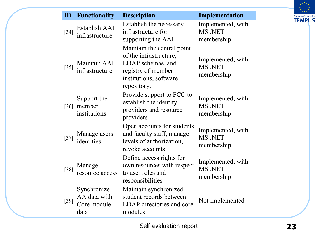

| ID     | <b>Functionality</b>                               | <b>Description</b>                                                                                                                       | Implementation                             |
|--------|----------------------------------------------------|------------------------------------------------------------------------------------------------------------------------------------------|--------------------------------------------|
| $[34]$ | Establish AAI<br>infrastructure                    | Establish the necessary<br>infrastructure for<br>supporting the AAI                                                                      | Implemented, with<br>MS .NET<br>membership |
| $[35]$ | Maintain AAI<br>infrastructure                     | Maintain the central point<br>of the infrastructure,<br>LDAP schemas, and<br>registry of member<br>institutions, software<br>repository. | Implemented, with<br>MS .NET<br>membership |
| $[36]$ | Support the<br>member<br>institutions              | Provide support to FCC to<br>establish the identity<br>providers and resource<br>providers                                               | Implemented, with<br>MS .NET<br>membership |
| $[37]$ | Manage users<br>identities                         | Open accounts for students<br>and faculty staff, manage<br>levels of authorization,<br>revoke accounts                                   | Implemented, with<br>MS .NET<br>membership |
| $[38]$ | Manage<br>resource access                          | Define access rights for<br>own resources with respect<br>to user roles and<br>responsibilities                                          | Implemented, with<br>MS .NET<br>membership |
| $[39]$ | Synchronize<br>AA data with<br>Core module<br>data | Maintain synchronized<br>student records between<br>LDAP directories and core<br>modules                                                 | Not implemented                            |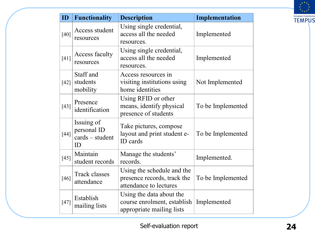

| ID     | <b>Functionality</b>                                 | <b>Description</b>                                                                   | Implementation    |
|--------|------------------------------------------------------|--------------------------------------------------------------------------------------|-------------------|
| $[40]$ | Access student<br>resources                          | Using single credential,<br>access all the needed<br>resources.                      | Implemented       |
| $[41]$ | Access faculty<br>resources                          | Using single credential,<br>access all the needed<br>resources.                      | Implemented       |
| $[42]$ | Staff and<br>students<br>mobility                    | Access resources in<br>visiting institutions using<br>home identities                | Not Implemented   |
| $[43]$ | Presence<br>identification                           | Using RFID or other<br>means, identify physical<br>presence of students              | To be Implemented |
| $[44]$ | Issuing of<br>personal ID<br>$cards - student$<br>ID | Take pictures, compose<br>layout and print student e-<br>ID cards                    | To be Implemented |
| $[45]$ | Maintain<br>student records                          | Manage the students'<br>records.                                                     | Implemented.      |
| $[46]$ | <b>Track classes</b><br>attendance                   | Using the schedule and the<br>presence records, track the<br>attendance to lectures  | To be Implemented |
| $[47]$ | Establish<br>mailing lists                           | Using the data about the<br>course enrolment, establish<br>appropriate mailing lists | Implemented       |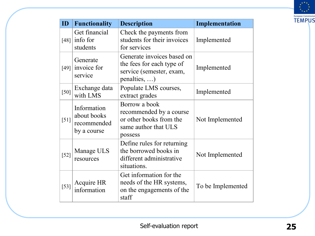

| ID     | <b>Functionality</b>                                     | <b>Description</b>                                                                                          | Implementation    |
|--------|----------------------------------------------------------|-------------------------------------------------------------------------------------------------------------|-------------------|
| [48]   | Get financial<br>info for<br>students                    | Check the payments from<br>students for their invoices<br>for services                                      | Implemented       |
| [49]   | Generate<br>invoice for<br>service                       | Generate invoices based on<br>the fees for each type of<br>service (semester, exam,<br>penalties, $\dots$ ) | Implemented       |
| $[50]$ | Exchange data<br>with LMS                                | Populate LMS courses,<br>extract grades                                                                     | Implemented       |
| [51]   | Information<br>about books<br>recommended<br>by a course | Borrow a book<br>recommended by a course<br>or other books from the<br>same author that ULS<br>possess      | Not Implemented   |
| $[52]$ | Manage ULS<br>resources                                  | Define rules for returning<br>the borrowed books in<br>different administrative<br>situations.              | Not Implemented   |
| $[53]$ | Acquire HR<br>information                                | Get information for the<br>needs of the HR systems,<br>on the engagements of the<br>staff                   | To be Implemented |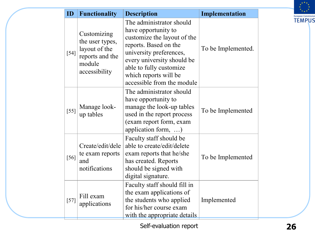

| ID     | <b>Functionality</b>                                                                          | <b>Description</b>                                                                                                                                                                                                                                 | Implementation     |
|--------|-----------------------------------------------------------------------------------------------|----------------------------------------------------------------------------------------------------------------------------------------------------------------------------------------------------------------------------------------------------|--------------------|
| $[54]$ | Customizing<br>the user types,<br>layout of the<br>reports and the<br>module<br>accessibility | The administrator should<br>have opportunity to<br>customize the layout of the<br>reports. Based on the<br>university preferences,<br>every university should be<br>able to fully customize<br>which reports will be<br>accessible from the module | To be Implemented. |
| $[55]$ | Manage look-<br>up tables                                                                     | The administrator should<br>have opportunity to<br>manage the look-up tables<br>used in the report process<br>(exam report form, exam<br>application form, )                                                                                       | To be Implemented  |
| $[56]$ | Create/edit/dele<br>te exam reports<br>and<br>notifications                                   | Faculty staff should be<br>able to create/edit/delete<br>exam reports that he/she<br>has created. Reports<br>should be signed with<br>digital signature.                                                                                           | To be Implemented  |
| $[57]$ | Fill exam<br>applications                                                                     | Faculty staff should fill in<br>the exam applications of<br>the students who applied<br>for his/her course exam<br>with the appropriate details                                                                                                    | Implemented        |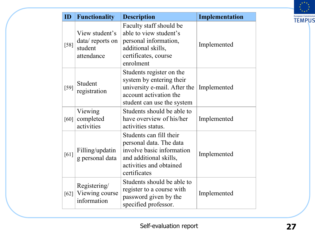

| ID     | <b>Functionality</b>                                       | <b>Description</b>                                                                                                                                   | Implementation |
|--------|------------------------------------------------------------|------------------------------------------------------------------------------------------------------------------------------------------------------|----------------|
| $[58]$ | View student's<br>data/reports on<br>student<br>attendance | Faculty staff should be<br>able to view student's<br>personal information,<br>additional skills,<br>certificates, course<br>enrolment                | Implemented    |
| $[59]$ | Student<br>registration                                    | Students register on the<br>system by entering their<br>university e-mail. After the<br>account activation the<br>student can use the system         | Implemented    |
| $[60]$ | Viewing<br>completed<br>activities                         | Students should be able to<br>have overview of his/her<br>activities status.                                                                         | Implemented    |
| [61]   | Filling/updatin<br>g personal data                         | Students can fill their<br>personal data. The data<br>involve basic information<br>and additional skills,<br>activities and obtained<br>certificates | Implemented    |
| [62]   | Registering/<br>Viewing course<br>information              | Students should be able to<br>register to a course with<br>password given by the<br>specified professor.                                             | Implemented    |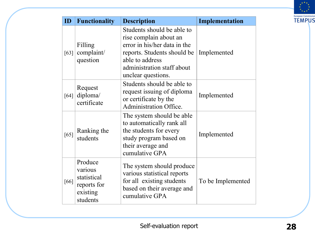

| ID   | <b>Functionality</b>                                                     | <b>Description</b>                                                                                                                                                                         | Implementation    |
|------|--------------------------------------------------------------------------|--------------------------------------------------------------------------------------------------------------------------------------------------------------------------------------------|-------------------|
| [63] | Filling<br>complaint/<br>question                                        | Students should be able to<br>rise complain about an<br>error in his/her data in the<br>reports. Students should be<br>able to address<br>administration staff about<br>unclear questions. | Implemented       |
| [64] | Request<br>diploma/<br>certificate                                       | Students should be able to<br>request issuing of diploma<br>or certificate by the<br><b>Administration Office.</b>                                                                         | Implemented       |
| [65] | Ranking the<br>students                                                  | The system should be able<br>to automatically rank all<br>the students for every<br>study program based on<br>their average and<br>cumulative GPA                                          | Implemented       |
| [66] | Produce<br>various<br>statistical<br>reports for<br>existing<br>students | The system should produce<br>various statistical reports<br>for all existing students<br>based on their average and<br>cumulative GPA                                                      | To be Implemented |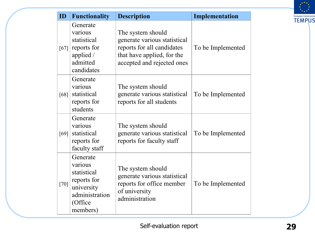

| ID     | <b>Functionality</b>                                                                                     | <b>Description</b>                                                                                                                          | <b>Implementation</b> |
|--------|----------------------------------------------------------------------------------------------------------|---------------------------------------------------------------------------------------------------------------------------------------------|-----------------------|
| [67]   | Generate<br>various<br>statistical<br>reports for<br>applied /<br>admitted<br>candidates                 | The system should<br>generate various statistical<br>reports for all candidates<br>that have applied, for the<br>accepted and rejected ones | To be Implemented     |
| [68]   | Generate<br>various<br>statistical<br>reports for<br>students                                            | The system should<br>generate various statistical<br>reports for all students                                                               | To be Implemented     |
| [69]   | Generate<br>various<br>statistical<br>reports for<br>faculty staff                                       | The system should<br>generate various statistical<br>reports for faculty staff                                                              | To be Implemented     |
| $[70]$ | Generate<br>various<br>statistical<br>reports for<br>university<br>administration<br>(Office<br>members) | The system should<br>generate various statistical<br>reports for office member<br>of university<br>administration                           | To be Implemented     |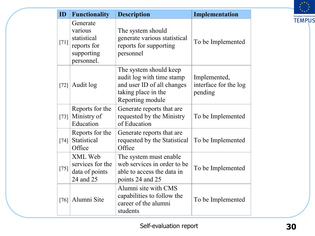

| ID                 | <b>Functionality</b>                                                          | <b>Description</b>                                                                                                           | Implementation                                   |
|--------------------|-------------------------------------------------------------------------------|------------------------------------------------------------------------------------------------------------------------------|--------------------------------------------------|
| $[71]$             | Generate<br>various<br>statistical<br>reports for<br>supporting<br>personnel. | The system should<br>generate various statistical<br>reports for supporting<br>personnel                                     | To be Implemented                                |
| $[72]$             | Audit log                                                                     | The system should keep<br>audit log with time stamp<br>and user ID of all changes<br>taking place in the<br>Reporting module | Implemented,<br>interface for the log<br>pending |
| $[73]$             | Reports for the<br>Ministry of<br>Education                                   | Generate reports that are<br>requested by the Ministry<br>of Education                                                       | To be Implemented                                |
| $[74]$             | Reports for the<br>Statistical<br>Office                                      | Generate reports that are.<br>requested by the Statistical<br>Office                                                         | To be Implemented                                |
| $[75]$             | XML Web<br>services for the<br>data of points<br>24 and 25                    | The system must enable<br>web services in order to be<br>able to access the data in<br>points 24 and 25                      | To be Implemented                                |
| $\lceil 76 \rceil$ | Alumni Site                                                                   | Alumni site with CMS<br>capabilities to follow the<br>career of the alumni<br>students                                       | To be Implemented                                |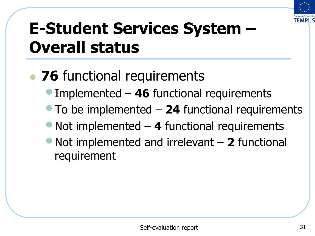

## **E-Student Services System – Overall status**

#### • 76 functional requirements

- Implemented **46** functional requirements
- To be implemented **24** functional requirements
- Not implemented 4 functional requirements
- Not implemented and irrelevant **2** functional requirement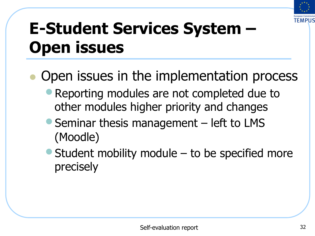

## **E-Student Services System – Open issues**

#### Open issues in the implementation process

- **Reporting modules are not completed due to** other modules higher priority and changes
- Seminar thesis management left to LMS (Moodle)
- Student mobility module  $-$  to be specified more precisely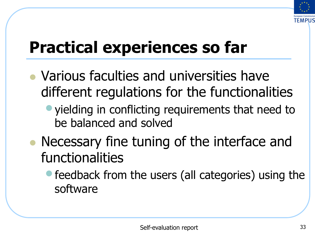

## **Practical experiences so far**

- Various faculties and universities have different regulations for the functionalities
	- yielding in conflicting requirements that need to be balanced and solved
- Necessary fine tuning of the interface and functionalities
	- feedback from the users (all categories) using the software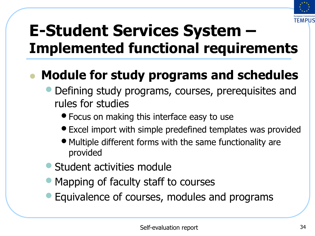

#### l **Module for study programs and schedules**

- Defining study programs, courses, prerequisites and rules for studies
	- Focus on making this interface easy to use
	- Excel import with simple predefined templates was provided
	- Multiple different forms with the same functionality are provided
- Student activities module
- Mapping of faculty staff to courses
- Equivalence of courses, modules and programs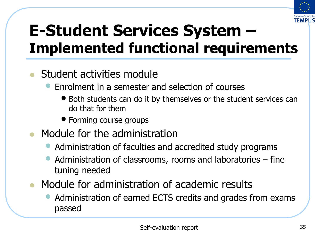

- Student activities module
	- Enrolment in a semester and selection of courses
		- Both students can do it by themselves or the student services can do that for them
		- Forming course groups
- $\bullet$  Module for the administration
	- Administration of faculties and accredited study programs
	- Administration of classrooms, rooms and laboratories fine tuning needed
- Module for administration of academic results
	- Administration of earned ECTS credits and grades from exams passed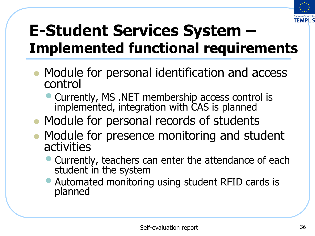

- Module for personal identification and access control
	- Currently, MS .NET membership access control is implemented, integration with CAS is planned
- Module for personal records of students
- Module for presence monitoring and student activities
	- Currently, teachers can enter the attendance of each student in the system
	- Automated monitoring using student RFID cards is planned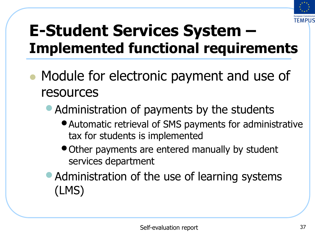

- Module for electronic payment and use of resources
	- Administration of payments by the students
		- •Automatic retrieval of SMS payments for administrative tax for students is implemented
		- Other payments are entered manually by student services department
	- Administration of the use of learning systems (LMS)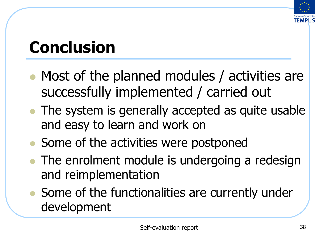

## **Conclusion**

- Most of the planned modules / activities are successfully implemented / carried out
- The system is generally accepted as quite usable and easy to learn and work on
- Some of the activities were postponed
- The enrolment module is undergoing a redesign and reimplementation
- Some of the functionalities are currently under development